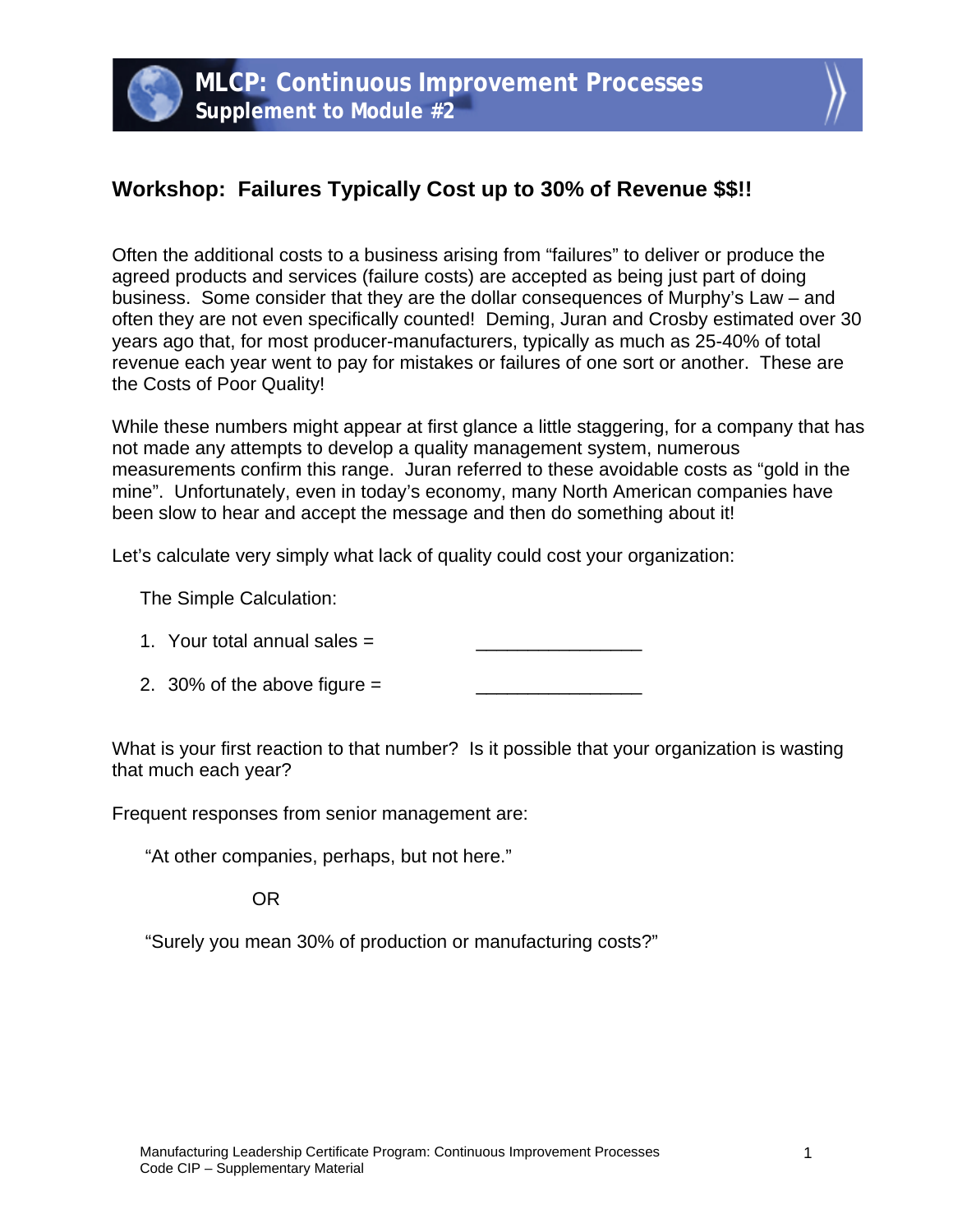

## **Workshop: Failures Typically Cost up to 30% of Revenue \$\$!!**

Often the additional costs to a business arising from "failures" to deliver or produce the agreed products and services (failure costs) are accepted as being just part of doing business. Some consider that they are the dollar consequences of Murphy's Law – and often they are not even specifically counted! Deming, Juran and Crosby estimated over 30 years ago that, for most producer-manufacturers, typically as much as 25-40% of total revenue each year went to pay for mistakes or failures of one sort or another. These are the Costs of Poor Quality!

While these numbers might appear at first glance a little staggering, for a company that has not made any attempts to develop a quality management system, numerous measurements confirm this range. Juran referred to these avoidable costs as "gold in the mine". Unfortunately, even in today's economy, many North American companies have been slow to hear and accept the message and then do something about it!

Let's calculate very simply what lack of quality could cost your organization:

The Simple Calculation:

| 1. Your total annual sales $=$ |  |
|--------------------------------|--|
|--------------------------------|--|

2. 30% of the above figure  $=$ 

What is your first reaction to that number? Is it possible that your organization is wasting that much each year?

Frequent responses from senior management are:

"At other companies, perhaps, but not here."

OR

"Surely you mean 30% of production or manufacturing costs?"